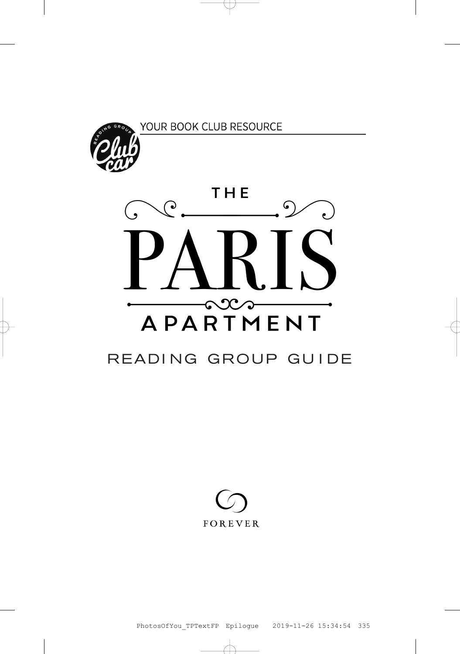

### YOUR BOOK CLUB RESOURCE



## READING GROUP GUIDE

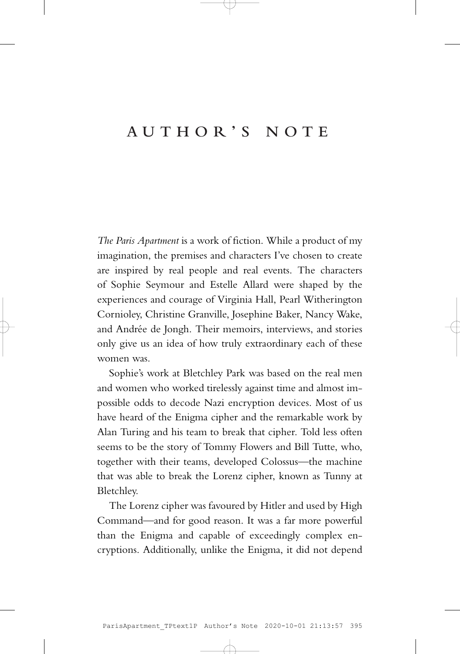## **AUTHOR'S NOTE**

*The Paris Apartment* is a work of fiction. While a product of my imagination, the premises and characters I've chosen to create are inspired by real people and real events. The characters of Sophie Seymour and Estelle Allard were shaped by the experiences and courage of Virginia Hall, Pearl Witherington Cornioley, Christine Granville, Josephine Baker, Nancy Wake, and Andrée de Jongh. Their memoirs, interviews, and stories only give us an idea of how truly extraordinary each of these women was.

Sophie's work at Bletchley Park was based on the real men and women who worked tirelessly against time and almost impossible odds to decode Nazi encryption devices. Most of us have heard of the Enigma cipher and the remarkable work by Alan Turing and his team to break that cipher. Told less often seems to be the story of Tommy Flowers and Bill Tutte, who, together with their teams, developed Colossus—the machine that was able to break the Lorenz cipher, known as Tunny at Bletchley.

The Lorenz cipher was favoured by Hitler and used by High Command—and for good reason. It was a far more powerful than the Enigma and capable of exceedingly complex encryptions. Additionally, unlike the Enigma, it did not depend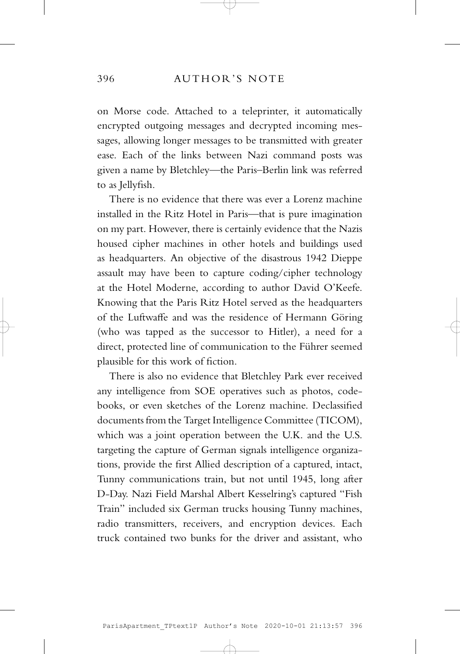on Morse code. Attached to a teleprinter, it automatically encrypted outgoing messages and decrypted incoming messages, allowing longer messages to be transmitted with greater ease. Each of the links between Nazi command posts was given a name by Bletchley—the Paris–Berlin link was referred to as Jellyfish.

There is no evidence that there was ever a Lorenz machine installed in the Ritz Hotel in Paris—that is pure imagination on my part. However, there is certainly evidence that the Nazis housed cipher machines in other hotels and buildings used as headquarters. An objective of the disastrous 1942 Dieppe assault may have been to capture coding/cipher technology at the Hotel Moderne, according to author David O'Keefe. Knowing that the Paris Ritz Hotel served as the headquarters of the Luftwaffe and was the residence of Hermann Göring (who was tapped as the successor to Hitler), a need for a direct, protected line of communication to the Führer seemed plausible for this work of fiction.

There is also no evidence that Bletchley Park ever received any intelligence from SOE operatives such as photos, codebooks, or even sketches of the Lorenz machine. Declassified documents from the Target Intelligence Committee (TICOM), which was a joint operation between the U.K. and the U.S. targeting the capture of German signals intelligence organizations, provide the first Allied description of a captured, intact, Tunny communications train, but not until 1945, long after D-Day. Nazi Field Marshal Albert Kesselring's captured "Fish Train" included six German trucks housing Tunny machines, radio transmitters, receivers, and encryption devices. Each truck contained two bunks for the driver and assistant, who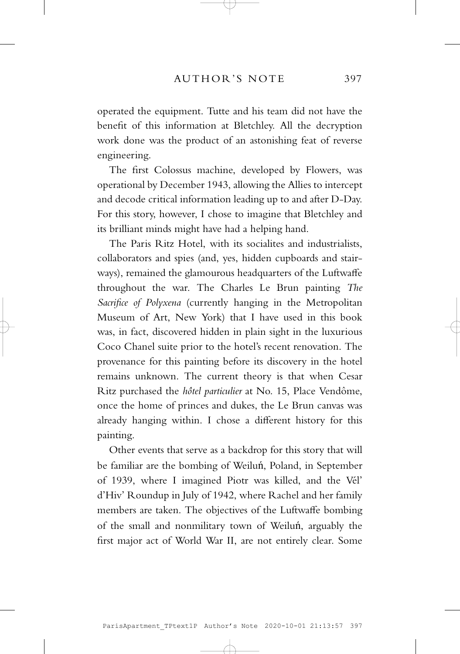operated the equipment. Tutte and his team did not have the benefit of this information at Bletchley. All the decryption work done was the product of an astonishing feat of reverse engineering.

The first Colossus machine, developed by Flowers, was operational by December 1943, allowing the Allies to intercept and decode critical information leading up to and after D-Day. For this story, however, I chose to imagine that Bletchley and its brilliant minds might have had a helping hand.

The Paris Ritz Hotel, with its socialites and industrialists, collaborators and spies (and, yes, hidden cupboards and stairways), remained the glamourous headquarters of the Luftwaffe throughout the war. The Charles Le Brun painting *The Sacrifice of Polyxena* (currently hanging in the Metropolitan Museum of Art, New York) that I have used in this book was, in fact, discovered hidden in plain sight in the luxurious Coco Chanel suite prior to the hotel's recent renovation. The provenance for this painting before its discovery in the hotel remains unknown. The current theory is that when Cesar Ritz purchased the *hôtel particulier* at No. 15, Place Vendôme, once the home of princes and dukes, the Le Brun canvas was already hanging within. I chose a different history for this painting.

Other events that serve as a backdrop for this story that will be familiar are the bombing of Weiluń, Poland, in September of 1939, where I imagined Piotr was killed, and the Vél' d'Hiv' Roundup in July of 1942, where Rachel and her family members are taken. The objectives of the Luftwaffe bombing of the small and nonmilitary town of Weiluń, arguably the first major act of World War II, are not entirely clear. Some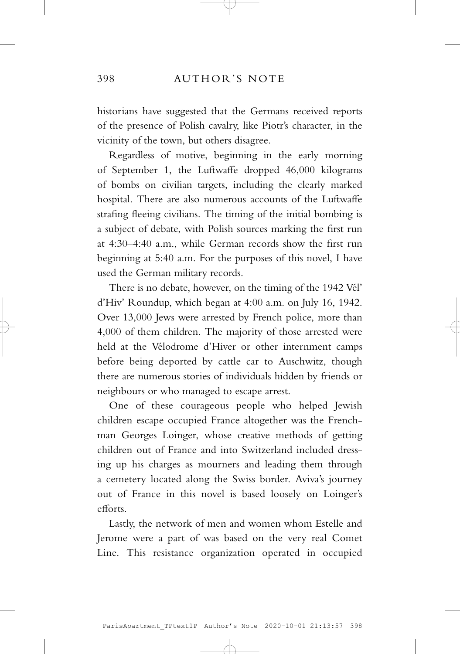historians have suggested that the Germans received reports of the presence of Polish cavalry, like Piotr's character, in the vicinity of the town, but others disagree.

Regardless of motive, beginning in the early morning of September 1, the Luftwaffe dropped 46,000 kilograms of bombs on civilian targets, including the clearly marked hospital. There are also numerous accounts of the Luftwaffe strafing fleeing civilians. The timing of the initial bombing is a subject of debate, with Polish sources marking the first run at 4:30–4:40 a.m., while German records show the first run beginning at 5:40 a.m. For the purposes of this novel, I have used the German military records.

There is no debate, however, on the timing of the 1942 Vél' d'Hiv' Roundup, which began at 4:00 a.m. on July 16, 1942. Over 13,000 Jews were arrested by French police, more than 4,000 of them children. The majority of those arrested were held at the Vélodrome d'Hiver or other internment camps before being deported by cattle car to Auschwitz, though there are numerous stories of individuals hidden by friends or neighbours or who managed to escape arrest.

One of these courageous people who helped Jewish children escape occupied France altogether was the Frenchman Georges Loinger, whose creative methods of getting children out of France and into Switzerland included dressing up his charges as mourners and leading them through a cemetery located along the Swiss border. Aviva's journey out of France in this novel is based loosely on Loinger's efforts.

Lastly, the network of men and women whom Estelle and Jerome were a part of was based on the very real Comet Line. This resistance organization operated in occupied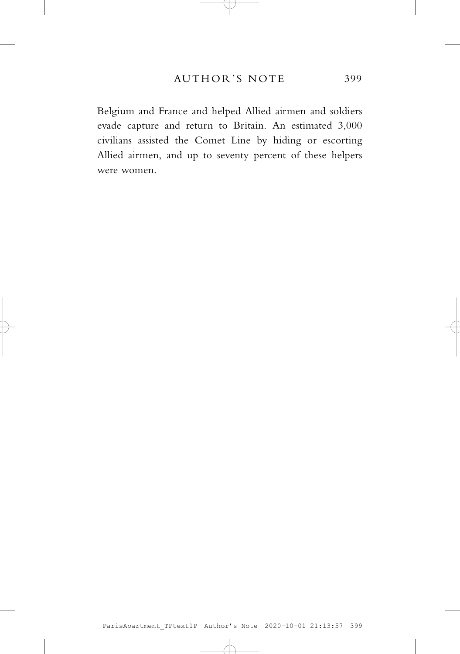Belgium and France and helped Allied airmen and soldiers evade capture and return to Britain. An estimated 3,000 civilians assisted the Comet Line by hiding or escorting Allied airmen, and up to seventy percent of these helpers were women.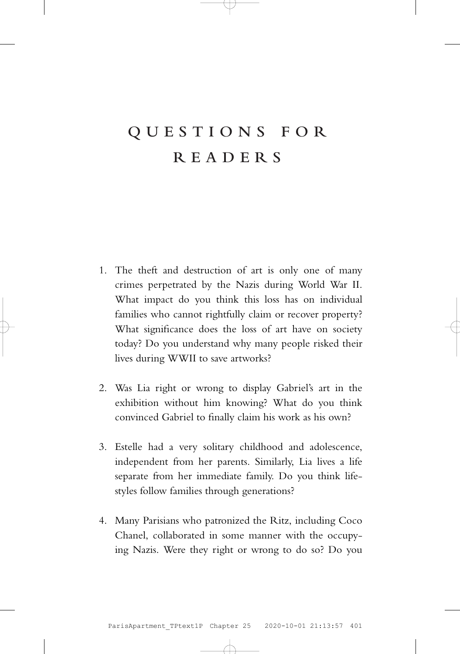# **QUESTIONS FOR READERS**

- 1. The theft and destruction of art is only one of many crimes perpetrated by the Nazis during World War II. What impact do you think this loss has on individual families who cannot rightfully claim or recover property? What significance does the loss of art have on society today? Do you understand why many people risked their lives during WWII to save artworks?
- 2. Was Lia right or wrong to display Gabriel's art in the exhibition without him knowing? What do you think convinced Gabriel to finally claim his work as his own?
- 3. Estelle had a very solitary childhood and adolescence, independent from her parents. Similarly, Lia lives a life separate from her immediate family. Do you think lifestyles follow families through generations?
- 4. Many Parisians who patronized the Ritz, including Coco Chanel, collaborated in some manner with the occupying Nazis. Were they right or wrong to do so? Do you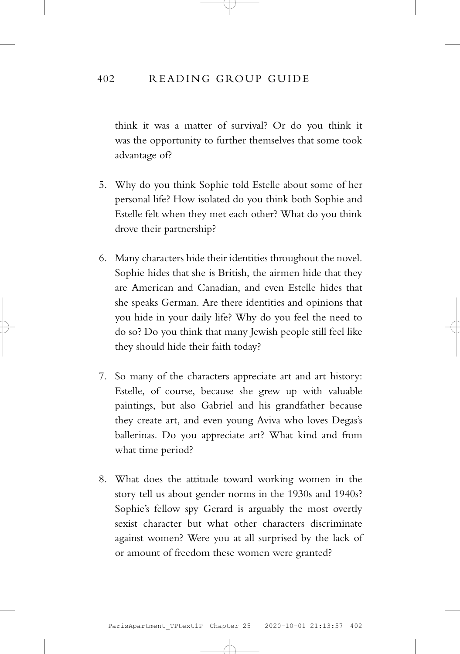#### 402 READING GROUP GUIDE

think it was a matter of survival? Or do you think it was the opportunity to further themselves that some took advantage of?

- 5. Why do you think Sophie told Estelle about some of her personal life? How isolated do you think both Sophie and Estelle felt when they met each other? What do you think drove their partnership?
- 6. Many characters hide their identities throughout the novel. Sophie hides that she is British, the airmen hide that they are American and Canadian, and even Estelle hides that she speaks German. Are there identities and opinions that you hide in your daily life? Why do you feel the need to do so? Do you think that many Jewish people still feel like they should hide their faith today?
- 7. So many of the characters appreciate art and art history: Estelle, of course, because she grew up with valuable paintings, but also Gabriel and his grandfather because they create art, and even young Aviva who loves Degas's ballerinas. Do you appreciate art? What kind and from what time period?
- 8. What does the attitude toward working women in the story tell us about gender norms in the 1930s and 1940s? Sophie's fellow spy Gerard is arguably the most overtly sexist character but what other characters discriminate against women? Were you at all surprised by the lack of or amount of freedom these women were granted?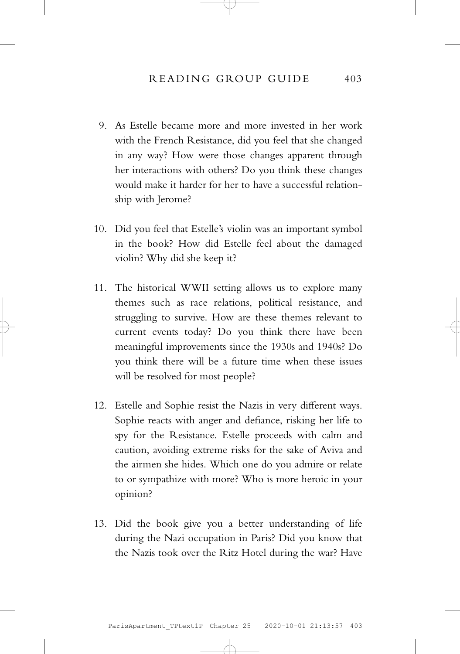- 9. As Estelle became more and more invested in her work with the French Resistance, did you feel that she changed in any way? How were those changes apparent through her interactions with others? Do you think these changes would make it harder for her to have a successful relationship with Jerome?
- 10. Did you feel that Estelle's violin was an important symbol in the book? How did Estelle feel about the damaged violin? Why did she keep it?
- 11. The historical WWII setting allows us to explore many themes such as race relations, political resistance, and struggling to survive. How are these themes relevant to current events today? Do you think there have been meaningful improvements since the 1930s and 1940s? Do you think there will be a future time when these issues will be resolved for most people?
- 12. Estelle and Sophie resist the Nazis in very different ways. Sophie reacts with anger and defiance, risking her life to spy for the Resistance. Estelle proceeds with calm and caution, avoiding extreme risks for the sake of Aviva and the airmen she hides. Which one do you admire or relate to or sympathize with more? Who is more heroic in your opinion?
- 13. Did the book give you a better understanding of life during the Nazi occupation in Paris? Did you know that the Nazis took over the Ritz Hotel during the war? Have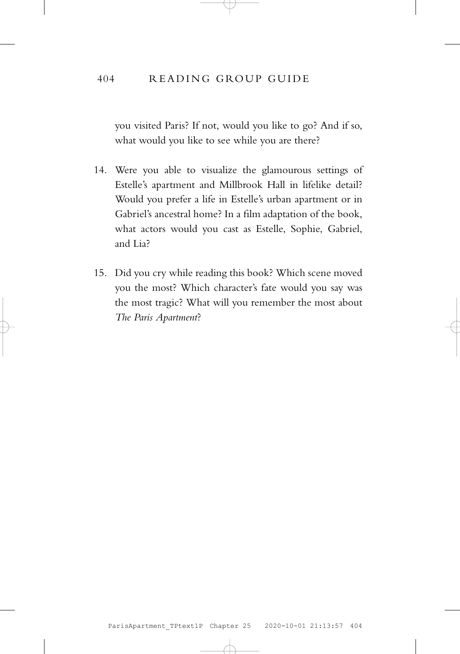### 404 READING GROUP GUIDE

you visited Paris? If not, would you like to go? And if so, what would you like to see while you are there?

- 14. Were you able to visualize the glamourous settings of Estelle's apartment and Millbrook Hall in lifelike detail? Would you prefer a life in Estelle's urban apartment or in Gabriel's ancestral home? In a film adaptation of the book, what actors would you cast as Estelle, Sophie, Gabriel, and Lia?
- 15. Did you cry while reading this book? Which scene moved you the most? Which character's fate would you say was the most tragic? What will you remember the most about *The Paris Apartment*?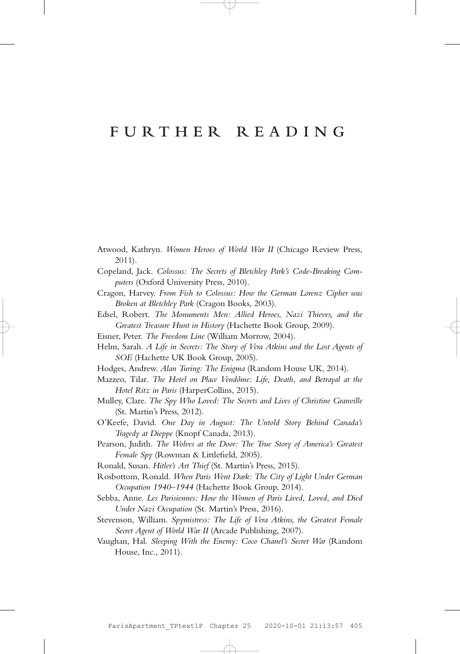### **FURTHER READING**

- Atwood, Kathryn. *Women Heroes of World War II* (Chicago Review Press, 2011).
- Copeland, Jack. *Colossus: The Secrets of Bletchley Park's Code-Breaking Computers* (Oxford University Press, 2010).
- Cragon, Harvey. *From Fish to Colossus: How the German Lorenz Cipher was Broken at Bletchley Park* (Cragon Books, 2003).
- Edsel, Robert. *The Monuments Men: Allied Heroes, Nazi Thieves, and the Greatest Treasure Hunt in History* (Hachette Book Group, 2009).
- Eisner, Peter. *The Freedom Line* (William Morrow, 2004).
- Helm, Sarah. *A Life in Secrets: The Story of Vera Atkins and the Lost Agents of SOE* (Hachette UK Book Group, 2005).
- Hodges, Andrew. *Alan Turing: The Enigma* (Random House UK, 2014).
- Mazzeo, Tilar. *The Hotel on Place Vendôme: Life, Death, and Betrayal at the Hotel Ritz in Paris* (HarperCollins, 2015).
- Mulley, Clare. *The Spy Who Loved: The Secrets and Lives of Christine Granville*  (St. Martin's Press, 2012).
- O'Keefe, David. *One Day in August: The Untold Story Behind Canada's Tragedy at Dieppe* (Knopf Canada, 2013).
- Pearson, Judith. *The Wolves at the Door: The True Story of America's Greatest Female Spy* (Rowman & Littlefield, 2005).
- Ronald, Susan. *Hitler's Art Thief* (St. Martin's Press, 2015).
- Rosbottom, Ronald. *When Paris Went Dark: The City of Light Under German Occupation 1940–1944* (Hachette Book Group, 2014).
- Sebba, Anne. *Les Parisiennes: How the Women of Paris Lived, Loved, and Died Under Nazi Occupation* (St. Martin's Press, 2016).
- Stevenson, William. *Spymistress: The Life of Vera Atkins, the Greatest Female Secret Agent of World War II* (Arcade Publishing, 2007).
- Vaughan, Hal. *Sleeping With the Enemy: Coco Chanel's Secret War* (Random House, Inc., 2011).